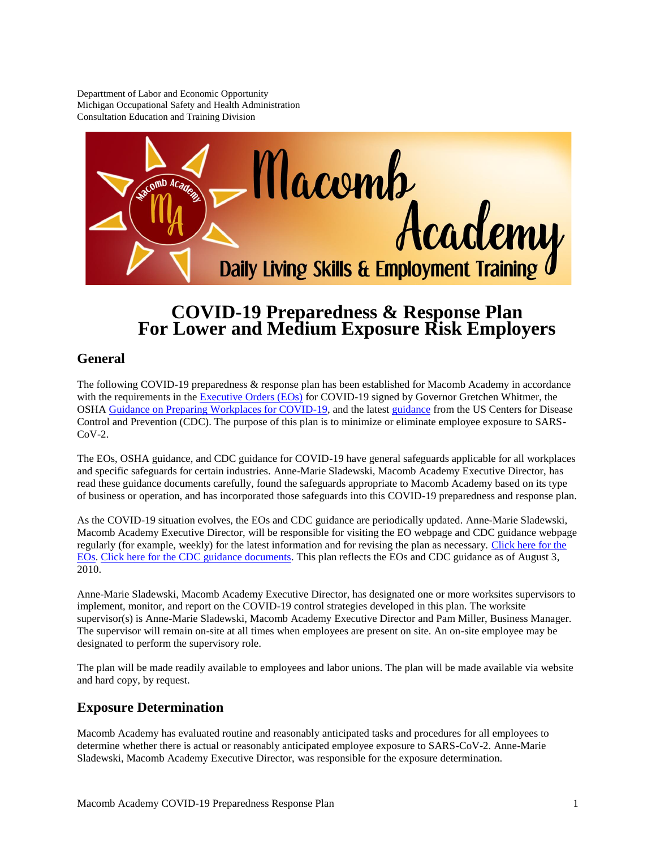Departtment of Labor and Economic Opportunity Michigan Occupational Safety and Health Administration Consultation Education and Training Division



# **COVID-19 Preparedness & Response Plan For Lower and Medium Exposure Risk Employers**

### **General**

The following COVID-19 preparedness & response plan has been established for Macomb Academy in accordance with the requirements in the **Executive Orders (EOs)** for COVID-19 signed by Governor Gretchen Whitmer, the OSH[A Guidance on Preparing Workplaces for COVID-19,](https://gcc01.safelinks.protection.outlook.com/?url=https%3A%2F%2Fwww.osha.gov%2FPublications%2FOSHA3990.pdf&data=02%7C01%7Cleym%40michigan.gov%7C19ffcd50eafd41bffa0008d7e07eb9cb%7Cd5fb7087377742ad966a892ef47225d1%7C0%7C0%7C637224707190714640&sdata=OMQ4JVhnLtkL6%2Btrvicw7N2V7YXCPLlmUyuh09wIQTU%3D&reserved=0) and the latest [guidance](https://www.cdc.gov/coronavirus/2019-ncov/communication/guidance-list.html?Sort=Date%3A%3Adesc) from the US Centers for Disease Control and Prevention (CDC). The purpose of this plan is to minimize or eliminate employee exposure to SARS- $CoV-2.$ 

The EOs, OSHA guidance, and CDC guidance for COVID-19 have general safeguards applicable for all workplaces and specific safeguards for certain industries. Anne-Marie Sladewski, Macomb Academy Executive Director, has read these guidance documents carefully, found the safeguards appropriate to Macomb Academy based on its type of business or operation, and has incorporated those safeguards into this COVID-19 preparedness and response plan.

As the COVID-19 situation evolves, the EOs and CDC guidance are periodically updated. Anne-Marie Sladewski, Macomb Academy Executive Director, will be responsible for visiting the EO webpage and CDC guidance webpage regularly (for example, weekly) for the latest information and for revising the plan as necessary. [Click here for the](https://www.michigan.gov/whitmer/0,9309,7-387-90499_90705---,00.html)  [EOs.](https://www.michigan.gov/whitmer/0,9309,7-387-90499_90705---,00.html) [Click here for the CDC guidance documents.](https://www.cdc.gov/coronavirus/2019-ncov/communication/guidance-list.html?Sort=Date%3A%3Adesc.) This plan reflects the EOs and CDC guidance as of August 3, 2010.

Anne-Marie Sladewski, Macomb Academy Executive Director, has designated one or more worksites supervisors to implement, monitor, and report on the COVID-19 control strategies developed in this plan. The worksite supervisor(s) is Anne-Marie Sladewski, Macomb Academy Executive Director and Pam Miller, Business Manager. The supervisor will remain on-site at all times when employees are present on site. An on-site employee may be designated to perform the supervisory role.

The plan will be made readily available to employees and labor unions. The plan will be made available via website and hard copy, by request.

#### **Exposure Determination**

Macomb Academy has evaluated routine and reasonably anticipated tasks and procedures for all employees to determine whether there is actual or reasonably anticipated employee exposure to SARS-CoV-2. Anne-Marie Sladewski, Macomb Academy Executive Director, was responsible for the exposure determination.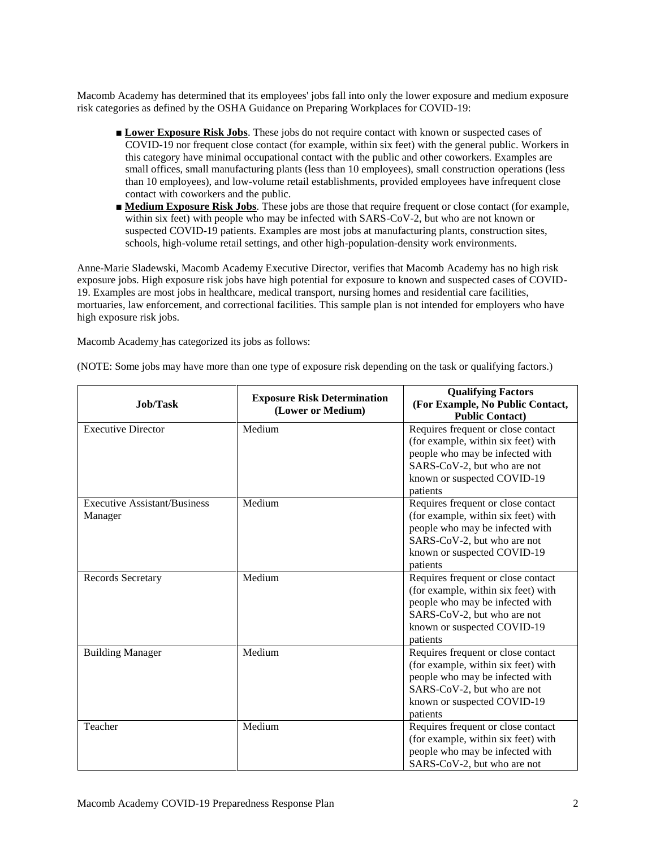Macomb Academy has determined that its employees' jobs fall into only the lower exposure and medium exposure risk categories as defined by the OSHA Guidance on Preparing Workplaces for COVID-19:

- **Lower Exposure Risk Jobs**. These jobs do not require contact with known or suspected cases of COVID-19 nor frequent close contact (for example, within six feet) with the general public. Workers in this category have minimal occupational contact with the public and other coworkers. Examples are small offices, small manufacturing plants (less than 10 employees), small construction operations (less than 10 employees), and low-volume retail establishments, provided employees have infrequent close contact with coworkers and the public.
- **Medium Exposure Risk Jobs**. These jobs are those that require frequent or close contact (for example, within six feet) with people who may be infected with SARS-CoV-2, but who are not known or suspected COVID-19 patients. Examples are most jobs at manufacturing plants, construction sites, schools, high-volume retail settings, and other high-population-density work environments.

Anne-Marie Sladewski, Macomb Academy Executive Director, verifies that Macomb Academy has no high risk exposure jobs. High exposure risk jobs have high potential for exposure to known and suspected cases of COVID-19. Examples are most jobs in healthcare, medical transport, nursing homes and residential care facilities, mortuaries, law enforcement, and correctional facilities. This sample plan is not intended for employers who have high exposure risk jobs.

Macomb Academy has categorized its jobs as follows:

| <b>Job/Task</b>                                | <b>Exposure Risk Determination</b><br>(Lower or Medium) | <b>Qualifying Factors</b><br>(For Example, No Public Contact,<br><b>Public Contact)</b>                                                                                                |
|------------------------------------------------|---------------------------------------------------------|----------------------------------------------------------------------------------------------------------------------------------------------------------------------------------------|
| <b>Executive Director</b>                      | Medium                                                  | Requires frequent or close contact<br>(for example, within six feet) with<br>people who may be infected with<br>SARS-CoV-2, but who are not<br>known or suspected COVID-19<br>patients |
| <b>Executive Assistant/Business</b><br>Manager | Medium                                                  | Requires frequent or close contact<br>(for example, within six feet) with<br>people who may be infected with<br>SARS-CoV-2, but who are not<br>known or suspected COVID-19<br>patients |
| Records Secretary                              | Medium                                                  | Requires frequent or close contact<br>(for example, within six feet) with<br>people who may be infected with<br>SARS-CoV-2, but who are not<br>known or suspected COVID-19<br>patients |
| <b>Building Manager</b>                        | Medium                                                  | Requires frequent or close contact<br>(for example, within six feet) with<br>people who may be infected with<br>SARS-CoV-2, but who are not<br>known or suspected COVID-19<br>patients |
| Teacher                                        | Medium                                                  | Requires frequent or close contact<br>(for example, within six feet) with<br>people who may be infected with<br>SARS-CoV-2, but who are not                                            |

(NOTE: Some jobs may have more than one type of exposure risk depending on the task or qualifying factors.)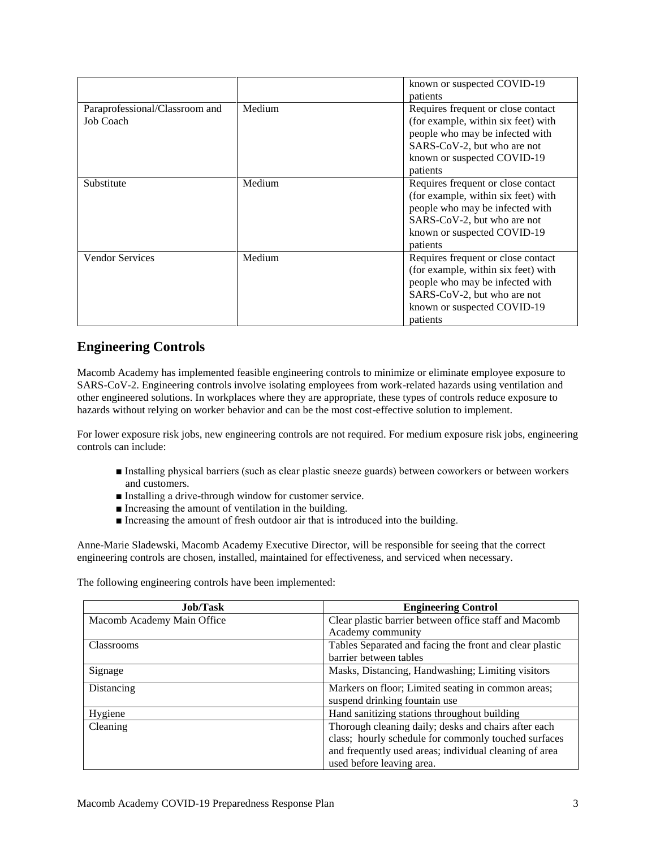|                                             |        | known or suspected COVID-19<br>patients                                                                                                                                                |
|---------------------------------------------|--------|----------------------------------------------------------------------------------------------------------------------------------------------------------------------------------------|
| Paraprofessional/Classroom and<br>Job Coach | Medium | Requires frequent or close contact<br>(for example, within six feet) with<br>people who may be infected with<br>SARS-CoV-2, but who are not<br>known or suspected COVID-19<br>patients |
| Substitute                                  | Medium | Requires frequent or close contact<br>(for example, within six feet) with<br>people who may be infected with<br>SARS-CoV-2, but who are not<br>known or suspected COVID-19<br>patients |
| <b>Vendor Services</b>                      | Medium | Requires frequent or close contact<br>(for example, within six feet) with<br>people who may be infected with<br>SARS-CoV-2, but who are not<br>known or suspected COVID-19<br>patients |

### **Engineering Controls**

Macomb Academy has implemented feasible engineering controls to minimize or eliminate employee exposure to SARS-CoV-2. Engineering controls involve isolating employees from work-related hazards using ventilation and other engineered solutions. In workplaces where they are appropriate, these types of controls reduce exposure to hazards without relying on worker behavior and can be the most cost-effective solution to implement.

For lower exposure risk jobs, new engineering controls are not required. For medium exposure risk jobs, engineering controls can include:

- Installing physical barriers (such as clear plastic sneeze guards) between coworkers or between workers and customers.
- Installing a drive-through window for customer service.
- Increasing the amount of ventilation in the building.
- Increasing the amount of fresh outdoor air that is introduced into the building.

Anne-Marie Sladewski, Macomb Academy Executive Director, will be responsible for seeing that the correct engineering controls are chosen, installed, maintained for effectiveness, and serviced when necessary.

The following engineering controls have been implemented:

| <b>Job/Task</b>            | <b>Engineering Control</b>                              |
|----------------------------|---------------------------------------------------------|
| Macomb Academy Main Office | Clear plastic barrier between office staff and Macomb   |
|                            | Academy community                                       |
| Classrooms                 | Tables Separated and facing the front and clear plastic |
|                            | barrier between tables                                  |
| Signage                    | Masks, Distancing, Handwashing; Limiting visitors       |
| Distancing                 | Markers on floor; Limited seating in common areas;      |
|                            | suspend drinking fountain use                           |
| Hygiene                    | Hand sanitizing stations throughout building            |
| Cleaning                   | Thorough cleaning daily; desks and chairs after each    |
|                            | class; hourly schedule for commonly touched surfaces    |
|                            | and frequently used areas; individual cleaning of area  |
|                            | used before leaving area.                               |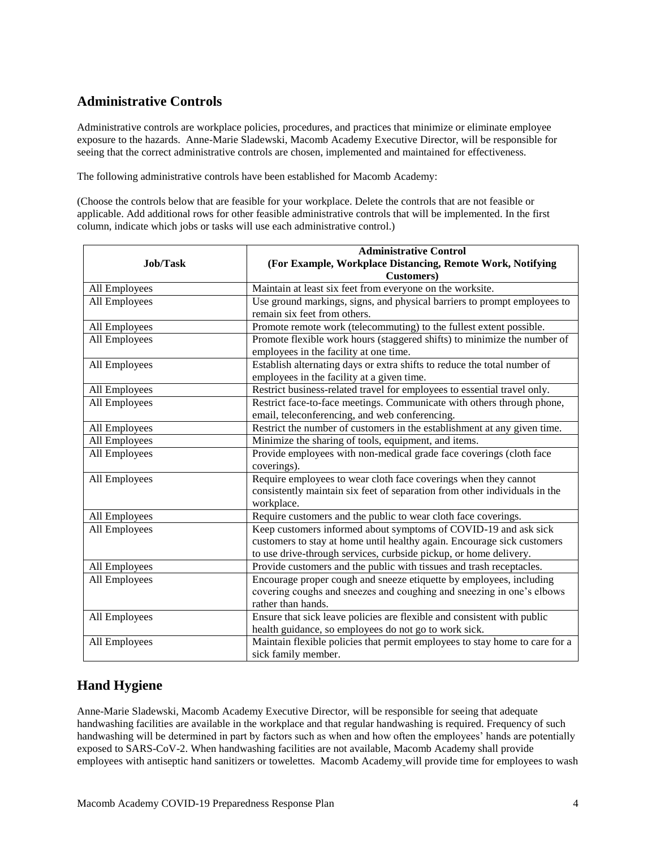## **Administrative Controls**

Administrative controls are workplace policies, procedures, and practices that minimize or eliminate employee exposure to the hazards. Anne-Marie Sladewski, Macomb Academy Executive Director, will be responsible for seeing that the correct administrative controls are chosen, implemented and maintained for effectiveness.

The following administrative controls have been established for Macomb Academy:

(Choose the controls below that are feasible for your workplace. Delete the controls that are not feasible or applicable. Add additional rows for other feasible administrative controls that will be implemented. In the first column, indicate which jobs or tasks will use each administrative control.)

| Job/Task                                                                                  | <b>Administrative Control</b><br>(For Example, Workplace Distancing, Remote Work, Notifying                                                                                                                     |
|-------------------------------------------------------------------------------------------|-----------------------------------------------------------------------------------------------------------------------------------------------------------------------------------------------------------------|
|                                                                                           | <b>Customers</b> )                                                                                                                                                                                              |
| All Employees                                                                             | Maintain at least six feet from everyone on the worksite.                                                                                                                                                       |
| All Employees                                                                             | Use ground markings, signs, and physical barriers to prompt employees to                                                                                                                                        |
|                                                                                           | remain six feet from others.                                                                                                                                                                                    |
| All Employees                                                                             | Promote remote work (telecommuting) to the fullest extent possible.                                                                                                                                             |
| All Employees                                                                             | Promote flexible work hours (staggered shifts) to minimize the number of<br>employees in the facility at one time.                                                                                              |
| All Employees                                                                             | Establish alternating days or extra shifts to reduce the total number of<br>employees in the facility at a given time.                                                                                          |
| All Employees                                                                             | Restrict business-related travel for employees to essential travel only.                                                                                                                                        |
| All Employees                                                                             | Restrict face-to-face meetings. Communicate with others through phone,<br>email, teleconferencing, and web conferencing.                                                                                        |
| Restrict the number of customers in the establishment at any given time.<br>All Employees |                                                                                                                                                                                                                 |
| All Employees                                                                             | Minimize the sharing of tools, equipment, and items.                                                                                                                                                            |
| All Employees                                                                             | Provide employees with non-medical grade face coverings (cloth face<br>coverings).                                                                                                                              |
| All Employees                                                                             | Require employees to wear cloth face coverings when they cannot<br>consistently maintain six feet of separation from other individuals in the<br>workplace.                                                     |
| All Employees                                                                             | Require customers and the public to wear cloth face coverings.                                                                                                                                                  |
| All Employees                                                                             | Keep customers informed about symptoms of COVID-19 and ask sick<br>customers to stay at home until healthy again. Encourage sick customers<br>to use drive-through services, curbside pickup, or home delivery. |
| All Employees                                                                             | Provide customers and the public with tissues and trash receptacles.                                                                                                                                            |
| All Employees                                                                             | Encourage proper cough and sneeze etiquette by employees, including<br>covering coughs and sneezes and coughing and sneezing in one's elbows<br>rather than hands.                                              |
| All Employees                                                                             | Ensure that sick leave policies are flexible and consistent with public<br>health guidance, so employees do not go to work sick.                                                                                |
| All Employees                                                                             | Maintain flexible policies that permit employees to stay home to care for a<br>sick family member.                                                                                                              |

## **Hand Hygiene**

Anne-Marie Sladewski, Macomb Academy Executive Director, will be responsible for seeing that adequate handwashing facilities are available in the workplace and that regular handwashing is required. Frequency of such handwashing will be determined in part by factors such as when and how often the employees' hands are potentially exposed to SARS-CoV-2. When handwashing facilities are not available, Macomb Academy shall provide employees with antiseptic hand sanitizers or towelettes. Macomb Academy will provide time for employees to wash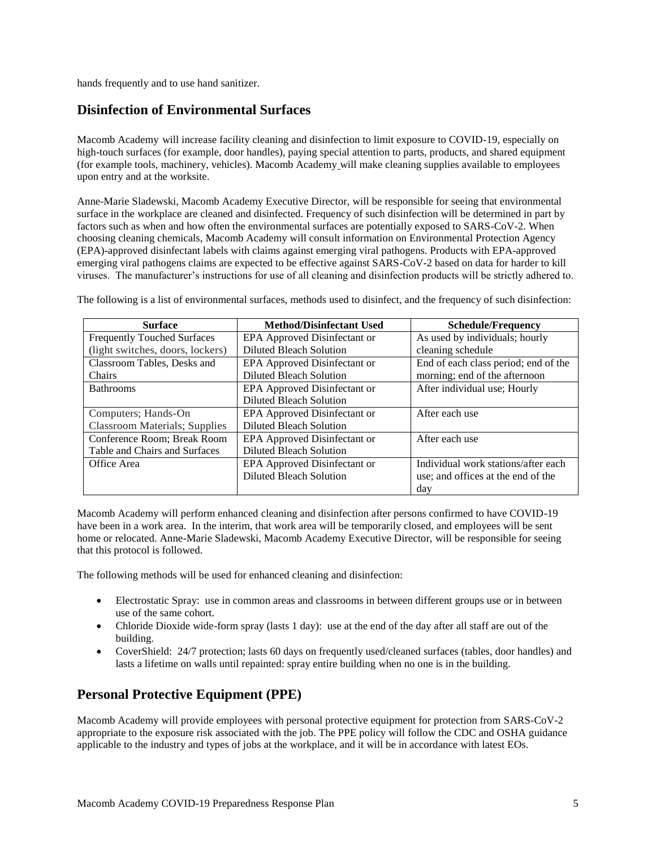hands frequently and to use hand sanitizer.

#### **Disinfection of Environmental Surfaces**

Macomb Academy will increase facility cleaning and disinfection to limit exposure to COVID-19, especially on high-touch surfaces (for example, door handles), paying special attention to parts, products, and shared equipment (for example tools, machinery, vehicles). Macomb Academy will make cleaning supplies available to employees upon entry and at the worksite.

Anne-Marie Sladewski, Macomb Academy Executive Director, will be responsible for seeing that environmental surface in the workplace are cleaned and disinfected. Frequency of such disinfection will be determined in part by factors such as when and how often the environmental surfaces are potentially exposed to SARS-CoV-2. When choosing cleaning chemicals, Macomb Academy will consult information on Environmental Protection Agency (EPA)-approved disinfectant labels with claims against emerging viral pathogens. Products with EPA-approved emerging viral pathogens claims are expected to be effective against SARS-CoV-2 based on data for harder to kill viruses. The manufacturer's instructions for use of all cleaning and disinfection products will be strictly adhered to.

The following is a list of environmental surfaces, methods used to disinfect, and the frequency of such disinfection:

| <b>Surface</b>                       | <b>Method/Disinfectant Used</b> | <b>Schedule/Frequency</b>            |
|--------------------------------------|---------------------------------|--------------------------------------|
| <b>Frequently Touched Surfaces</b>   | EPA Approved Disinfectant or    | As used by individuals; hourly       |
| (light switches, doors, lockers)     | <b>Diluted Bleach Solution</b>  | cleaning schedule                    |
| Classroom Tables, Desks and          | EPA Approved Disinfectant or    | End of each class period; end of the |
| Chairs                               | Diluted Bleach Solution         | morning; end of the afternoon        |
| <b>Bathrooms</b>                     | EPA Approved Disinfectant or    | After individual use; Hourly         |
|                                      | Diluted Bleach Solution         |                                      |
| Computers; Hands-On                  | EPA Approved Disinfectant or    | After each use                       |
| <b>Classroom Materials; Supplies</b> | <b>Diluted Bleach Solution</b>  |                                      |
| Conference Room; Break Room          | EPA Approved Disinfectant or    | After each use                       |
| Table and Chairs and Surfaces        | Diluted Bleach Solution         |                                      |
| Office Area                          | EPA Approved Disinfectant or    | Individual work stations/after each  |
|                                      | Diluted Bleach Solution         | use; and offices at the end of the   |
|                                      |                                 | day                                  |

Macomb Academy will perform enhanced cleaning and disinfection after persons confirmed to have COVID-19 have been in a work area. In the interim, that work area will be temporarily closed, and employees will be sent home or relocated. Anne-Marie Sladewski, Macomb Academy Executive Director, will be responsible for seeing that this protocol is followed.

The following methods will be used for enhanced cleaning and disinfection:

- Electrostatic Spray: use in common areas and classrooms in between different groups use or in between use of the same cohort.
- Chloride Dioxide wide-form spray (lasts 1 day): use at the end of the day after all staff are out of the building.
- CoverShield: 24/7 protection; lasts 60 days on frequently used/cleaned surfaces (tables, door handles) and lasts a lifetime on walls until repainted: spray entire building when no one is in the building.

## **Personal Protective Equipment (PPE)**

Macomb Academy will provide employees with personal protective equipment for protection from SARS-CoV-2 appropriate to the exposure risk associated with the job. The PPE policy will follow the CDC and OSHA guidance applicable to the industry and types of jobs at the workplace, and it will be in accordance with latest EOs.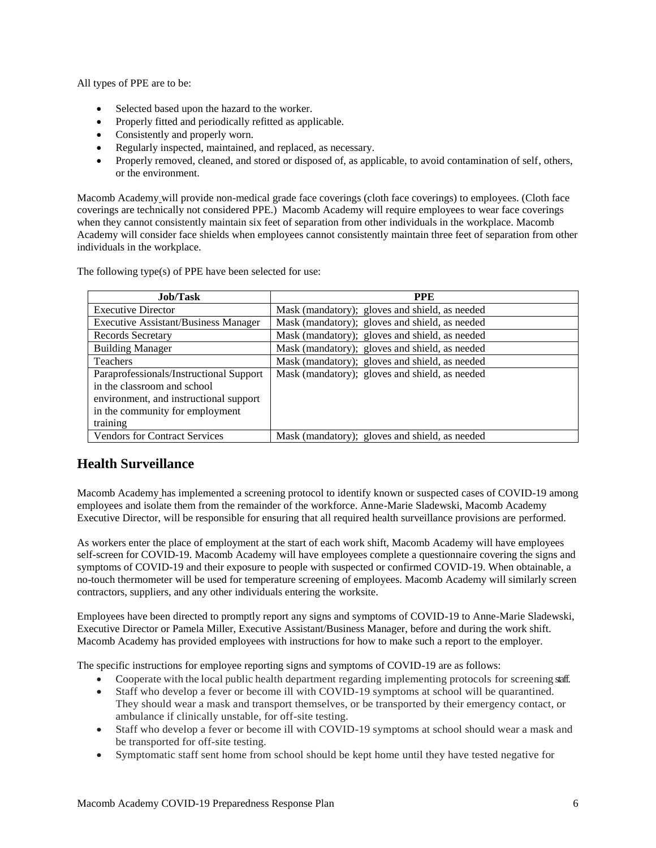All types of PPE are to be:

- Selected based upon the hazard to the worker.
- Properly fitted and periodically refitted as applicable.
- Consistently and properly worn.
- Regularly inspected, maintained, and replaced, as necessary.
- Properly removed, cleaned, and stored or disposed of, as applicable, to avoid contamination of self, others, or the environment.

Macomb Academy will provide non-medical grade face coverings (cloth face coverings) to employees. (Cloth face coverings are technically not considered PPE.) Macomb Academy will require employees to wear face coverings when they cannot consistently maintain six feet of separation from other individuals in the workplace. Macomb Academy will consider face shields when employees cannot consistently maintain three feet of separation from other individuals in the workplace.

| <b>Job/Task</b>                             | <b>PPE</b>                                     |
|---------------------------------------------|------------------------------------------------|
| <b>Executive Director</b>                   | Mask (mandatory); gloves and shield, as needed |
| <b>Executive Assistant/Business Manager</b> | Mask (mandatory); gloves and shield, as needed |
| Records Secretary                           | Mask (mandatory); gloves and shield, as needed |
| <b>Building Manager</b>                     | Mask (mandatory); gloves and shield, as needed |
| <b>Teachers</b>                             | Mask (mandatory); gloves and shield, as needed |
| Paraprofessionals/Instructional Support     | Mask (mandatory); gloves and shield, as needed |
| in the classroom and school                 |                                                |
| environment, and instructional support      |                                                |
| in the community for employment             |                                                |
| training                                    |                                                |
| <b>Vendors for Contract Services</b>        | Mask (mandatory); gloves and shield, as needed |

The following type(s) of PPE have been selected for use:

## **Health Surveillance**

Macomb Academy has implemented a screening protocol to identify known or suspected cases of COVID-19 among employees and isolate them from the remainder of the workforce. Anne-Marie Sladewski, Macomb Academy Executive Director, will be responsible for ensuring that all required health surveillance provisions are performed.

As workers enter the place of employment at the start of each work shift, Macomb Academy will have employees self-screen for COVID-19. Macomb Academy will have employees complete a questionnaire covering the signs and symptoms of COVID-19 and their exposure to people with suspected or confirmed COVID-19. When obtainable, a no-touch thermometer will be used for temperature screening of employees. Macomb Academy will similarly screen contractors, suppliers, and any other individuals entering the worksite.

Employees have been directed to promptly report any signs and symptoms of COVID-19 to Anne-Marie Sladewski, Executive Director or Pamela Miller, Executive Assistant/Business Manager, before and during the work shift. Macomb Academy has provided employees with instructions for how to make such a report to the employer.

The specific instructions for employee reporting signs and symptoms of COVID-19 are as follows:

- Cooperate with the local public health department regarding implementing protocols for screening staff.
- Staff who develop a fever or become ill with COVID-19 symptoms at school will be quarantined. They should wear a mask and transport themselves, or be transported by their emergency contact, or ambulance if clinically unstable, for off-site testing.
- Staff who develop a fever or become ill with COVID-19 symptoms at school should wear a mask and be transported for off-site testing.
- Symptomatic staff sent home from school should be kept home until they have tested negative for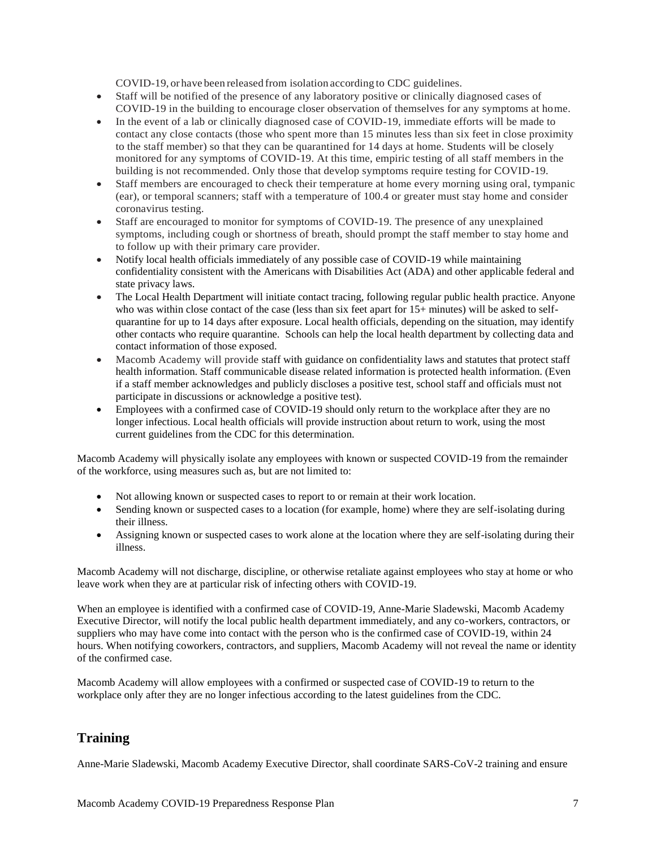COVID-19, or have been released from isolation according to CDC guidelines.

- Staff will be notified of the presence of any laboratory positive or clinically diagnosed cases of COVID-19 in the building to encourage closer observation of themselves for any symptoms at home.
- In the event of a lab or clinically diagnosed case of COVID-19, immediate efforts will be made to contact any close contacts (those who spent more than 15 minutes less than six feet in close proximity to the staff member) so that they can be quarantined for 14 days at home. Students will be closely monitored for any symptoms of COVID-19. At this time, empiric testing of all staff members in the building is not recommended. Only those that develop symptoms require testing for COVID-19.
- Staff members are encouraged to check their temperature at home every morning using oral, tympanic (ear), or temporal scanners; staff with a temperature of 100.4 or greater must stay home and consider coronavirus testing.
- Staff are encouraged to monitor for symptoms of COVID-19. The presence of any unexplained symptoms, including cough or shortness of breath, should prompt the staff member to stay home and to follow up with their primary care provider.
- Notify local health officials immediately of any possible case of COVID-19 while maintaining confidentiality consistent with the Americans with Disabilities Act (ADA) and other applicable federal and state privacy laws.
- The Local Health Department will initiate contact tracing, following regular public health practice. Anyone who was within close contact of the case (less than six feet apart for 15+ minutes) will be asked to selfquarantine for up to 14 days after exposure. Local health officials, depending on the situation, may identify other contacts who require quarantine. Schools can help the local health department by collecting data and contact information of those exposed.
- Macomb Academy will provide staff with guidance on confidentiality laws and statutes that protect staff health information. Staff communicable disease related information is protected health information. (Even if a staff member acknowledges and publicly discloses a positive test, school staff and officials must not participate in discussions or acknowledge a positive test).
- Employees with a confirmed case of COVID-19 should only return to the workplace after they are no longer infectious. Local health officials will provide instruction about return to work, using the most current guidelines from the CDC for this determination.

Macomb Academy will physically isolate any employees with known or suspected COVID-19 from the remainder of the workforce, using measures such as, but are not limited to:

- Not allowing known or suspected cases to report to or remain at their work location.
- Sending known or suspected cases to a location (for example, home) where they are self-isolating during their illness.
- Assigning known or suspected cases to work alone at the location where they are self-isolating during their illness.

Macomb Academy will not discharge, discipline, or otherwise retaliate against employees who stay at home or who leave work when they are at particular risk of infecting others with COVID-19.

When an employee is identified with a confirmed case of COVID-19, Anne-Marie Sladewski, Macomb Academy Executive Director, will notify the local public health department immediately, and any co-workers, contractors, or suppliers who may have come into contact with the person who is the confirmed case of COVID-19, within 24 hours. When notifying coworkers, contractors, and suppliers, Macomb Academy will not reveal the name or identity of the confirmed case.

Macomb Academy will allow employees with a confirmed or suspected case of COVID-19 to return to the workplace only after they are no longer infectious according to the latest guidelines from the CDC.

## **Training**

Anne-Marie Sladewski, Macomb Academy Executive Director, shall coordinate SARS-CoV-2 training and ensure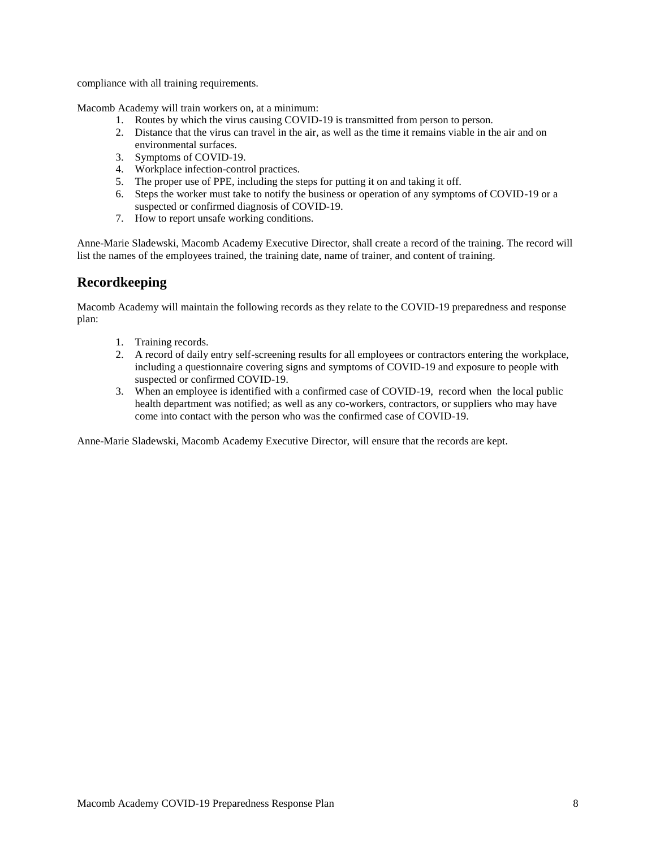compliance with all training requirements.

Macomb Academy will train workers on, at a minimum:

- 1. Routes by which the virus causing COVID-19 is transmitted from person to person.
- 2. Distance that the virus can travel in the air, as well as the time it remains viable in the air and on environmental surfaces.
- 3. Symptoms of COVID-19.
- 4. Workplace infection-control practices.
- 5. The proper use of PPE, including the steps for putting it on and taking it off.
- 6. Steps the worker must take to notify the business or operation of any symptoms of COVID-19 or a suspected or confirmed diagnosis of COVID-19.
- 7. How to report unsafe working conditions.

Anne-Marie Sladewski, Macomb Academy Executive Director, shall create a record of the training. The record will list the names of the employees trained, the training date, name of trainer, and content of training.

#### **Recordkeeping**

Macomb Academy will maintain the following records as they relate to the COVID-19 preparedness and response plan:

- 1. Training records.
- 2. A record of daily entry self-screening results for all employees or contractors entering the workplace, including a questionnaire covering signs and symptoms of COVID-19 and exposure to people with suspected or confirmed COVID-19.
- 3. When an employee is identified with a confirmed case of COVID-19, record when the local public health department was notified; as well as any co-workers, contractors, or suppliers who may have come into contact with the person who was the confirmed case of COVID-19.

Anne-Marie Sladewski, Macomb Academy Executive Director, will ensure that the records are kept.